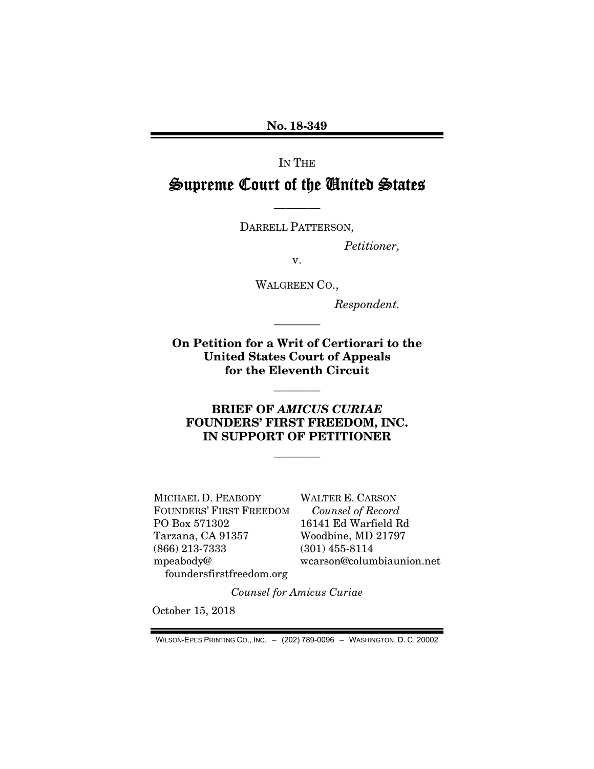No. 18-349

IN THE

# Supreme Court of the United States

DARRELL PATTERSON,

————

*Petitioner,* 

v.

WALGREEN CO.,

*Respondent.* 

On Petition for a Writ of Certiorari to the United States Court of Appeals for the Eleventh Circuit

————

————

### BRIEF OF *AMICUS CURIAE* FOUNDERS' FIRST FREEDOM, INC. IN SUPPORT OF PETITIONER

————

MICHAEL D. PEABODY FOUNDERS' FIRST FREEDOM PO Box 571302 Tarzana, CA 91357 (866) 213-7333 mpeabody@ foundersfirstfreedom.org

WALTER E. CARSON *Counsel of Record*  16141 Ed Warfield Rd Woodbine, MD 21797 (301) 455-8114 wcarson@columbiaunion.net

*Counsel for Amicus Curiae* 

October 15, 2018

WILSON-EPES PRINTING CO., INC. – (202) 789-0096 – WASHINGTON, D. C. 20002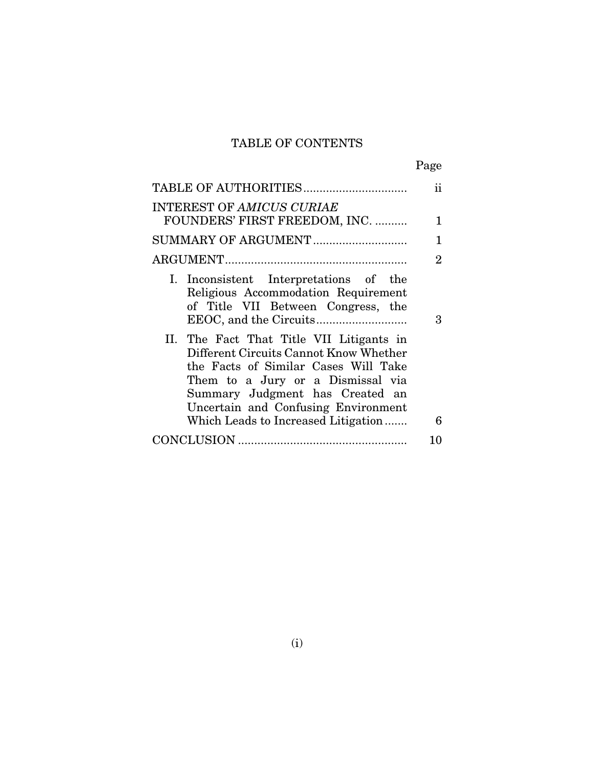# TABLE OF CONTENTS

|                                                                                                                                                                                                                                                                                  | Page           |
|----------------------------------------------------------------------------------------------------------------------------------------------------------------------------------------------------------------------------------------------------------------------------------|----------------|
| TABLE OF AUTHORITIES                                                                                                                                                                                                                                                             | ij             |
| INTEREST OF AMICUS CURIAE                                                                                                                                                                                                                                                        |                |
| FOUNDERS' FIRST FREEDOM, INC.                                                                                                                                                                                                                                                    | 1              |
| SUMMARY OF ARGUMENT                                                                                                                                                                                                                                                              | 1              |
|                                                                                                                                                                                                                                                                                  | $\overline{2}$ |
| I. Inconsistent Interpretations of the<br>Religious Accommodation Requirement<br>of Title VII Between Congress, the                                                                                                                                                              | 3              |
| II. The Fact That Title VII Litigants in<br>Different Circuits Cannot Know Whether<br>the Facts of Similar Cases Will Take<br>Them to a Jury or a Dismissal via<br>Summary Judgment has Created an<br>Uncertain and Confusing Environment<br>Which Leads to Increased Litigation | 6              |
|                                                                                                                                                                                                                                                                                  |                |
|                                                                                                                                                                                                                                                                                  | 10             |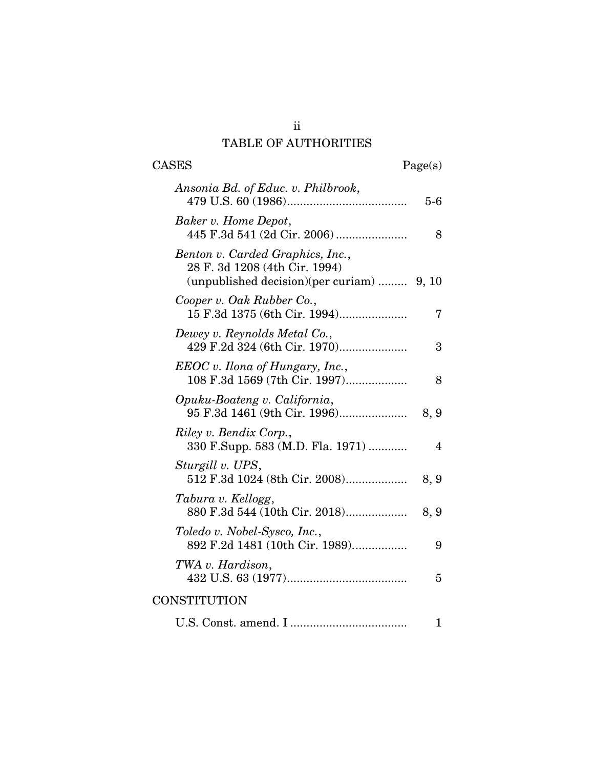## ii TABLE OF AUTHORITIES

| <b>CASES</b>                                                                                                   | Page(s) |
|----------------------------------------------------------------------------------------------------------------|---------|
| Ansonia Bd. of Educ. v. Philbrook,                                                                             | $5-6$   |
| Baker v. Home Depot,                                                                                           | 8       |
| Benton v. Carded Graphics, Inc.,<br>28 F. 3d 1208 (4th Cir. 1994)<br>(unpublished decision)(per curiam)  9, 10 |         |
| Cooper v. Oak Rubber Co.,<br>15 F.3d 1375 (6th Cir. 1994)                                                      | 7       |
| Dewey v. Reynolds Metal Co.,<br>429 F.2d 324 (6th Cir. 1970)                                                   | 3       |
| $EEOC$ v. Ilona of Hungary, Inc.,<br>108 F.3d 1569 (7th Cir. 1997)                                             | 8       |
| Opuku-Boateng v. California,<br>95 F.3d 1461 (9th Cir. 1996)                                                   | 8, 9    |
| Riley v. Bendix Corp.,<br>330 F.Supp. 583 (M.D. Fla. 1971)                                                     | 4       |
| Sturgill v. UPS,<br>512 F.3d 1024 (8th Cir. 2008)                                                              | 8, 9    |
| Tabura v. Kellogg,<br>880 F.3d 544 (10th Cir. 2018)                                                            | 8, 9    |
| Toledo v. Nobel-Sysco, Inc.,<br>892 F.2d 1481 (10th Cir. 1989)                                                 | 9       |
| TWA v. Hardison,                                                                                               | 5       |
| CONSTITUTION                                                                                                   |         |
|                                                                                                                | 1       |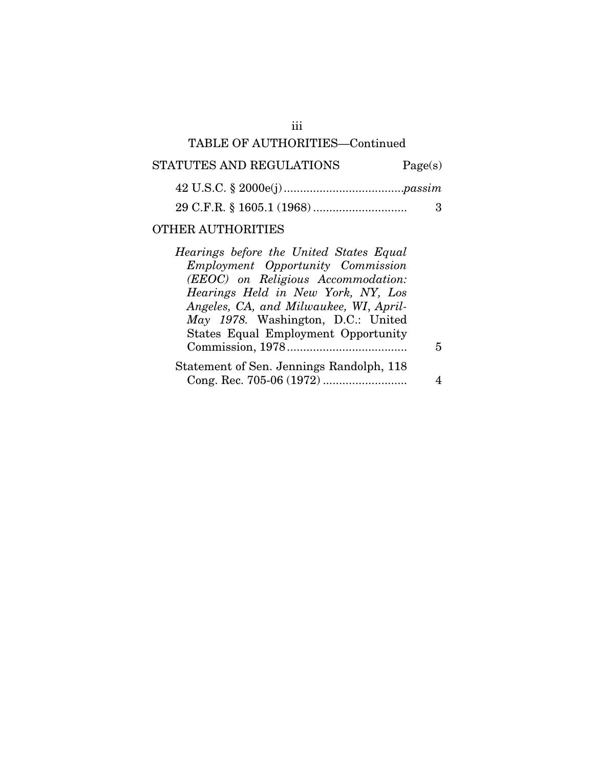## TABLE OF AUTHORITIES—Continued

## STATUTES AND REGULATIONS Page(s)

## 29 C.F.R. § 1605.1 (1968) ............................. 3

### OTHER AUTHORITIES

| Hearings before the United States Equal    |   |
|--------------------------------------------|---|
| Employment Opportunity Commission          |   |
| (EEOC) on Religious Accommodation:         |   |
| Hearings Held in New York, NY, Los         |   |
| Angeles, CA, and Milwaukee, WI, April-     |   |
| May 1978. Washington, D.C.: United         |   |
| <b>States Equal Employment Opportunity</b> |   |
|                                            | 5 |
| Statement of Sen. Jennings Randolph, 118   |   |
|                                            |   |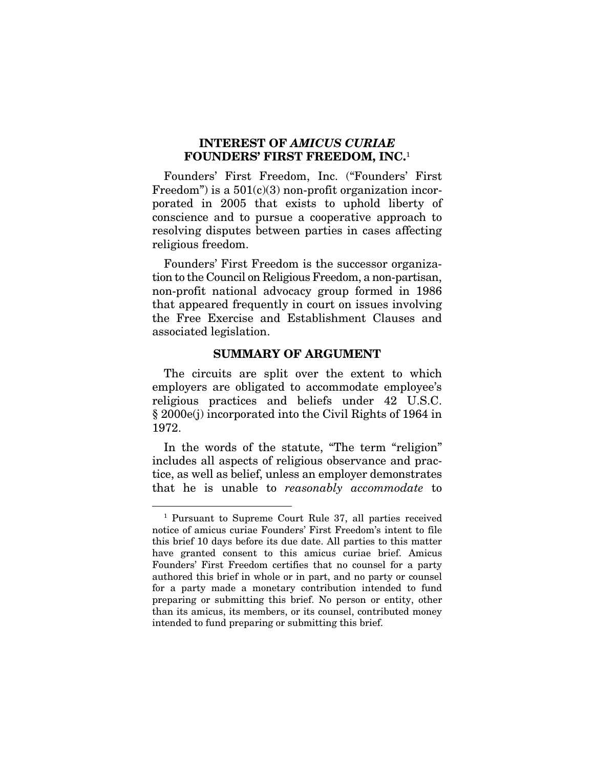### INTEREST OF *AMICUS CURIAE*  FOUNDERS' FIRST FREEDOM, INC.<sup>1</sup>

Founders' First Freedom, Inc. ("Founders' First Freedom") is a  $501(c)(3)$  non-profit organization incorporated in 2005 that exists to uphold liberty of conscience and to pursue a cooperative approach to resolving disputes between parties in cases affecting religious freedom.

Founders' First Freedom is the successor organization to the Council on Religious Freedom, a non-partisan, non-profit national advocacy group formed in 1986 that appeared frequently in court on issues involving the Free Exercise and Establishment Clauses and associated legislation.

#### SUMMARY OF ARGUMENT

The circuits are split over the extent to which employers are obligated to accommodate employee's religious practices and beliefs under 42 U.S.C. § 2000e(j) incorporated into the Civil Rights of 1964 in 1972.

In the words of the statute, "The term "religion" includes all aspects of religious observance and practice, as well as belief, unless an employer demonstrates that he is unable to *reasonably accommodate* to

 <sup>1</sup> Pursuant to Supreme Court Rule 37, all parties received notice of amicus curiae Founders' First Freedom's intent to file this brief 10 days before its due date. All parties to this matter have granted consent to this amicus curiae brief. Amicus Founders' First Freedom certifies that no counsel for a party authored this brief in whole or in part, and no party or counsel for a party made a monetary contribution intended to fund preparing or submitting this brief. No person or entity, other than its amicus, its members, or its counsel, contributed money intended to fund preparing or submitting this brief.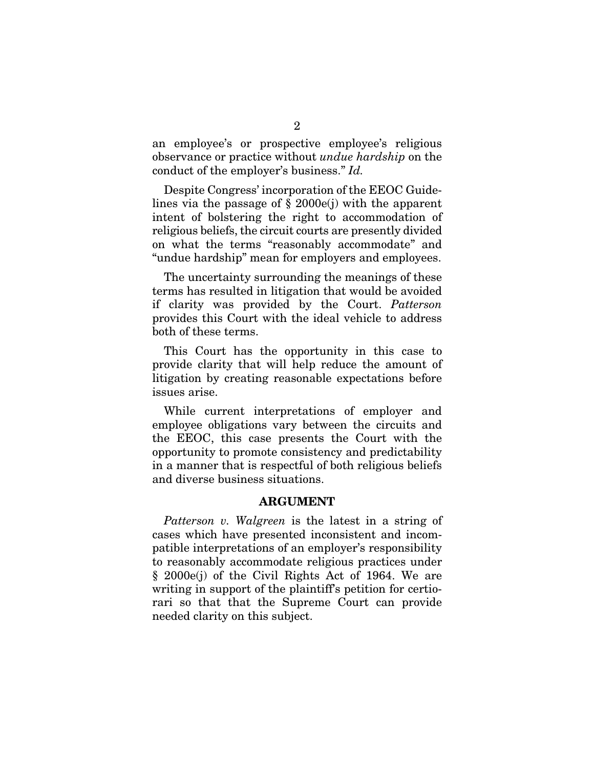an employee's or prospective employee's religious observance or practice without *undue hardship* on the conduct of the employer's business." *Id.*

Despite Congress' incorporation of the EEOC Guidelines via the passage of § 2000e(j) with the apparent intent of bolstering the right to accommodation of religious beliefs, the circuit courts are presently divided on what the terms "reasonably accommodate" and "undue hardship" mean for employers and employees.

The uncertainty surrounding the meanings of these terms has resulted in litigation that would be avoided if clarity was provided by the Court. *Patterson* provides this Court with the ideal vehicle to address both of these terms.

This Court has the opportunity in this case to provide clarity that will help reduce the amount of litigation by creating reasonable expectations before issues arise.

While current interpretations of employer and employee obligations vary between the circuits and the EEOC, this case presents the Court with the opportunity to promote consistency and predictability in a manner that is respectful of both religious beliefs and diverse business situations.

#### ARGUMENT

*Patterson v. Walgreen* is the latest in a string of cases which have presented inconsistent and incompatible interpretations of an employer's responsibility to reasonably accommodate religious practices under § 2000e(j) of the Civil Rights Act of 1964. We are writing in support of the plaintiff's petition for certiorari so that that the Supreme Court can provide needed clarity on this subject.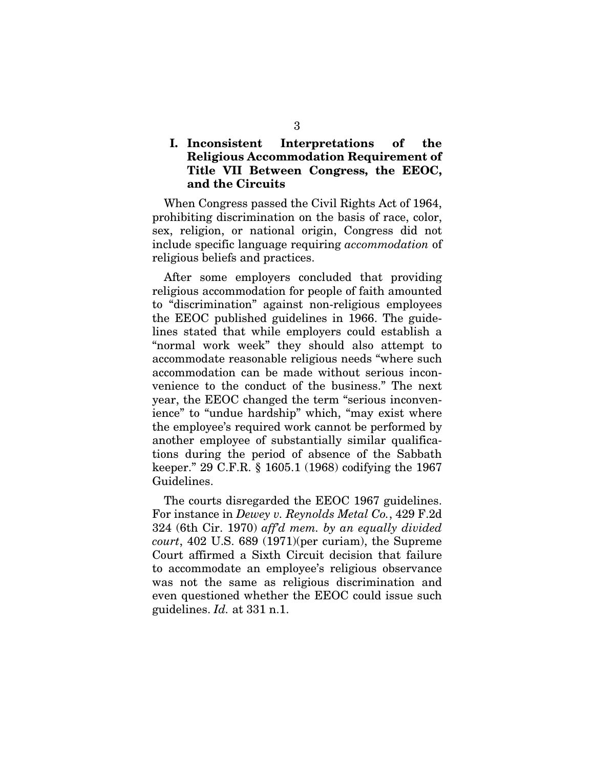### I. Inconsistent Interpretations of the Religious Accommodation Requirement of Title VII Between Congress, the EEOC, and the Circuits

When Congress passed the Civil Rights Act of 1964, prohibiting discrimination on the basis of race, color, sex, religion, or national origin, Congress did not include specific language requiring *accommodation* of religious beliefs and practices.

After some employers concluded that providing religious accommodation for people of faith amounted to "discrimination" against non-religious employees the EEOC published guidelines in 1966. The guidelines stated that while employers could establish a "normal work week" they should also attempt to accommodate reasonable religious needs "where such accommodation can be made without serious inconvenience to the conduct of the business." The next year, the EEOC changed the term "serious inconvenience" to "undue hardship" which, "may exist where the employee's required work cannot be performed by another employee of substantially similar qualifications during the period of absence of the Sabbath keeper." 29 C.F.R. § 1605.1 (1968) codifying the 1967 Guidelines.

The courts disregarded the EEOC 1967 guidelines. For instance in *Dewey v. Reynolds Metal Co.*, 429 F.2d 324 (6th Cir. 1970) *aff'd mem. by an equally divided court*, 402 U.S. 689 (1971)(per curiam), the Supreme Court affirmed a Sixth Circuit decision that failure to accommodate an employee's religious observance was not the same as religious discrimination and even questioned whether the EEOC could issue such guidelines. *Id.* at 331 n.1.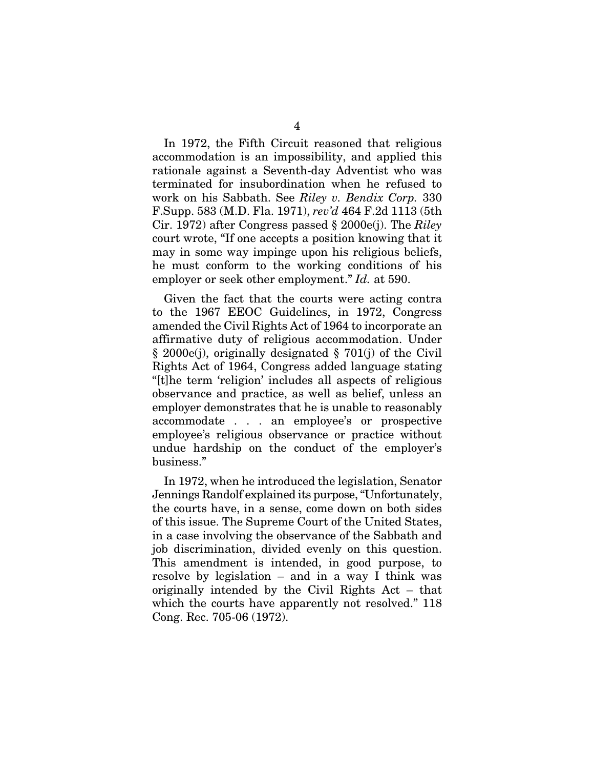In 1972, the Fifth Circuit reasoned that religious accommodation is an impossibility, and applied this rationale against a Seventh-day Adventist who was terminated for insubordination when he refused to work on his Sabbath. See *Riley v. Bendix Corp.* 330 F.Supp. 583 (M.D. Fla. 1971), *rev'd* 464 F.2d 1113 (5th Cir. 1972) after Congress passed § 2000e(j). The *Riley* court wrote, "If one accepts a position knowing that it may in some way impinge upon his religious beliefs, he must conform to the working conditions of his employer or seek other employment." *Id.* at 590.

Given the fact that the courts were acting contra to the 1967 EEOC Guidelines, in 1972, Congress amended the Civil Rights Act of 1964 to incorporate an affirmative duty of religious accommodation. Under § 2000e(j), originally designated § 701(j) of the Civil Rights Act of 1964, Congress added language stating "[t]he term 'religion' includes all aspects of religious observance and practice, as well as belief, unless an employer demonstrates that he is unable to reasonably accommodate . . . an employee's or prospective employee's religious observance or practice without undue hardship on the conduct of the employer's business."

In 1972, when he introduced the legislation, Senator Jennings Randolf explained its purpose, "Unfortunately, the courts have, in a sense, come down on both sides of this issue. The Supreme Court of the United States, in a case involving the observance of the Sabbath and job discrimination, divided evenly on this question. This amendment is intended, in good purpose, to resolve by legislation – and in a way I think was originally intended by the Civil Rights Act – that which the courts have apparently not resolved." 118 Cong. Rec. 705-06 (1972).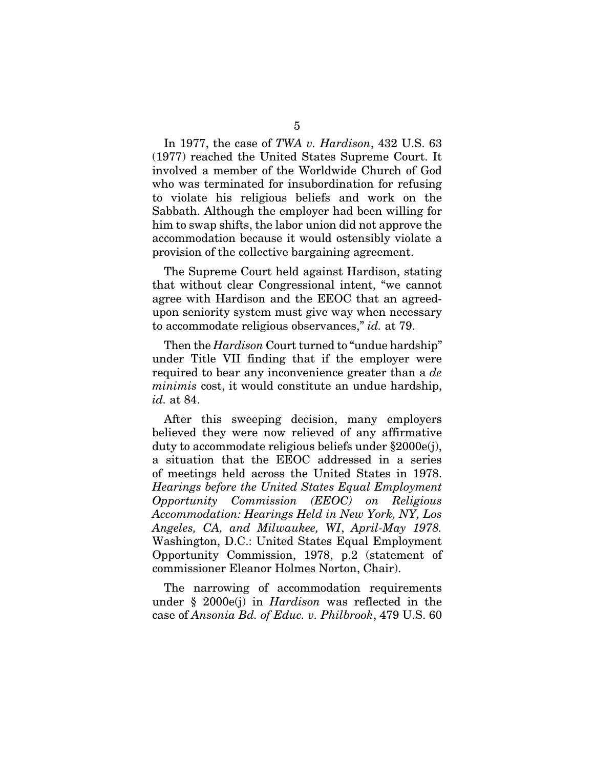In 1977, the case of *TWA v. Hardison*, 432 U.S. 63 (1977) reached the United States Supreme Court. It involved a member of the Worldwide Church of God who was terminated for insubordination for refusing to violate his religious beliefs and work on the Sabbath. Although the employer had been willing for him to swap shifts, the labor union did not approve the accommodation because it would ostensibly violate a provision of the collective bargaining agreement.

The Supreme Court held against Hardison, stating that without clear Congressional intent, "we cannot agree with Hardison and the EEOC that an agreedupon seniority system must give way when necessary to accommodate religious observances," *id.* at 79.

Then the *Hardison* Court turned to "undue hardship" under Title VII finding that if the employer were required to bear any inconvenience greater than a *de minimis* cost, it would constitute an undue hardship, *id.* at 84.

After this sweeping decision, many employers believed they were now relieved of any affirmative duty to accommodate religious beliefs under §2000e(j), a situation that the EEOC addressed in a series of meetings held across the United States in 1978. *Hearings before the United States Equal Employment Opportunity Commission (EEOC) on Religious Accommodation: Hearings Held in New York, NY, Los Angeles, CA, and Milwaukee, WI*, *April-May 1978.*  Washington, D.C.: United States Equal Employment Opportunity Commission, 1978, p.2 (statement of commissioner Eleanor Holmes Norton, Chair).

The narrowing of accommodation requirements under § 2000e(j) in *Hardison* was reflected in the case of *Ansonia Bd. of Educ. v. Philbrook*, 479 U.S. 60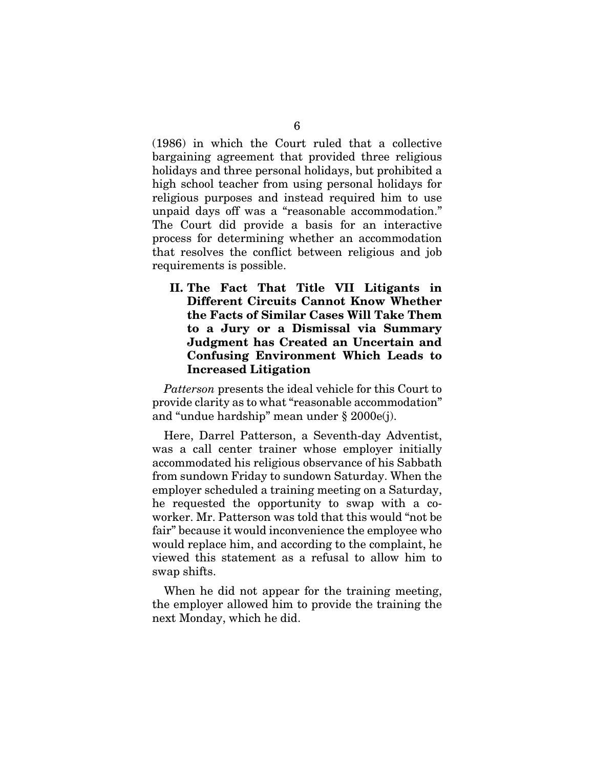(1986) in which the Court ruled that a collective bargaining agreement that provided three religious holidays and three personal holidays, but prohibited a high school teacher from using personal holidays for religious purposes and instead required him to use unpaid days off was a "reasonable accommodation." The Court did provide a basis for an interactive process for determining whether an accommodation that resolves the conflict between religious and job requirements is possible.

II. The Fact That Title VII Litigants in Different Circuits Cannot Know Whether the Facts of Similar Cases Will Take Them to a Jury or a Dismissal via Summary Judgment has Created an Uncertain and Confusing Environment Which Leads to Increased Litigation

*Patterson* presents the ideal vehicle for this Court to provide clarity as to what "reasonable accommodation" and "undue hardship" mean under § 2000e(j).

Here, Darrel Patterson, a Seventh-day Adventist, was a call center trainer whose employer initially accommodated his religious observance of his Sabbath from sundown Friday to sundown Saturday. When the employer scheduled a training meeting on a Saturday, he requested the opportunity to swap with a coworker. Mr. Patterson was told that this would "not be fair" because it would inconvenience the employee who would replace him, and according to the complaint, he viewed this statement as a refusal to allow him to swap shifts.

When he did not appear for the training meeting, the employer allowed him to provide the training the next Monday, which he did.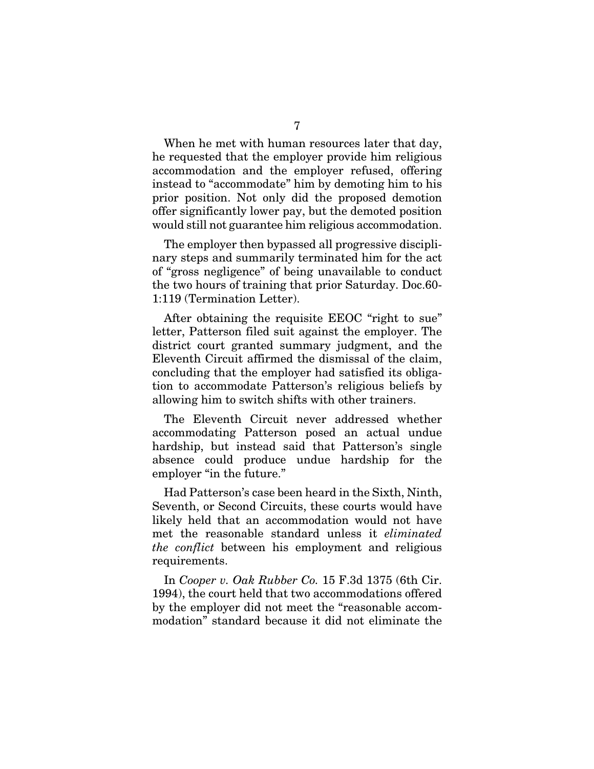When he met with human resources later that day, he requested that the employer provide him religious accommodation and the employer refused, offering instead to "accommodate" him by demoting him to his prior position. Not only did the proposed demotion offer significantly lower pay, but the demoted position would still not guarantee him religious accommodation.

The employer then bypassed all progressive disciplinary steps and summarily terminated him for the act of "gross negligence" of being unavailable to conduct the two hours of training that prior Saturday. Doc.60- 1:119 (Termination Letter).

After obtaining the requisite EEOC "right to sue" letter, Patterson filed suit against the employer. The district court granted summary judgment, and the Eleventh Circuit affirmed the dismissal of the claim, concluding that the employer had satisfied its obligation to accommodate Patterson's religious beliefs by allowing him to switch shifts with other trainers.

The Eleventh Circuit never addressed whether accommodating Patterson posed an actual undue hardship, but instead said that Patterson's single absence could produce undue hardship for the employer "in the future."

Had Patterson's case been heard in the Sixth, Ninth, Seventh, or Second Circuits, these courts would have likely held that an accommodation would not have met the reasonable standard unless it *eliminated the conflict* between his employment and religious requirements.

In *Cooper v. Oak Rubber Co.* 15 F.3d 1375 (6th Cir. 1994), the court held that two accommodations offered by the employer did not meet the "reasonable accommodation" standard because it did not eliminate the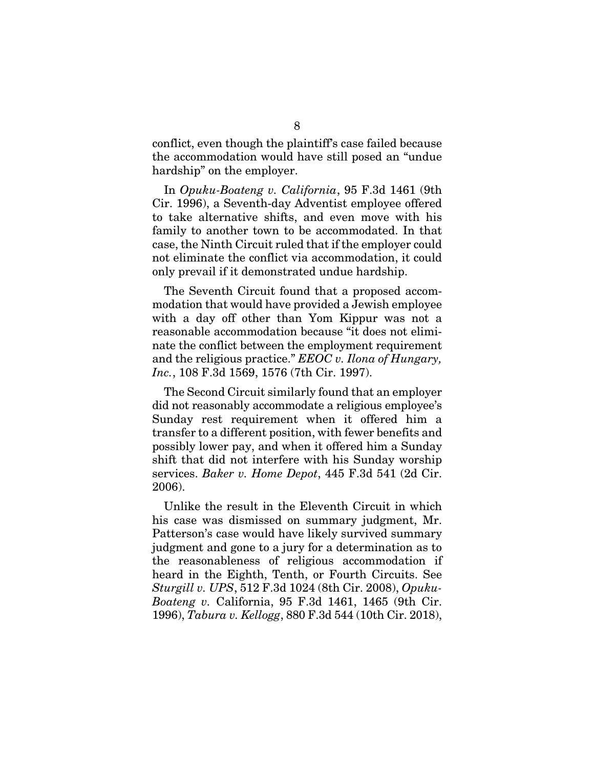conflict, even though the plaintiff's case failed because the accommodation would have still posed an "undue hardship" on the employer.

In *Opuku-Boateng v. California*, 95 F.3d 1461 (9th Cir. 1996), a Seventh-day Adventist employee offered to take alternative shifts, and even move with his family to another town to be accommodated. In that case, the Ninth Circuit ruled that if the employer could not eliminate the conflict via accommodation, it could only prevail if it demonstrated undue hardship.

The Seventh Circuit found that a proposed accommodation that would have provided a Jewish employee with a day off other than Yom Kippur was not a reasonable accommodation because "it does not eliminate the conflict between the employment requirement and the religious practice." *EEOC v. Ilona of Hungary, Inc.*, 108 F.3d 1569, 1576 (7th Cir. 1997).

The Second Circuit similarly found that an employer did not reasonably accommodate a religious employee's Sunday rest requirement when it offered him a transfer to a different position, with fewer benefits and possibly lower pay, and when it offered him a Sunday shift that did not interfere with his Sunday worship services. *Baker v. Home Depot*, 445 F.3d 541 (2d Cir. 2006).

Unlike the result in the Eleventh Circuit in which his case was dismissed on summary judgment, Mr. Patterson's case would have likely survived summary judgment and gone to a jury for a determination as to the reasonableness of religious accommodation if heard in the Eighth, Tenth, or Fourth Circuits. See *Sturgill v. UPS*, 512 F.3d 1024 (8th Cir. 2008), *Opuku-Boateng v.* California, 95 F.3d 1461, 1465 (9th Cir. 1996), *Tabura v. Kellogg*, 880 F.3d 544 (10th Cir. 2018),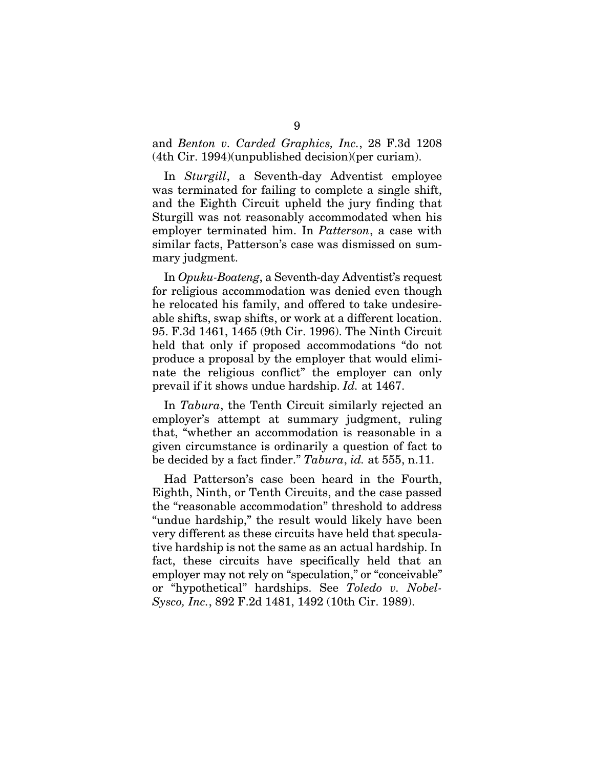and *Benton v. Carded Graphics, Inc.*, 28 F.3d 1208 (4th Cir. 1994)(unpublished decision)(per curiam).

In *Sturgill*, a Seventh-day Adventist employee was terminated for failing to complete a single shift, and the Eighth Circuit upheld the jury finding that Sturgill was not reasonably accommodated when his employer terminated him. In *Patterson*, a case with similar facts, Patterson's case was dismissed on summary judgment.

In *Opuku-Boateng*, a Seventh-day Adventist's request for religious accommodation was denied even though he relocated his family, and offered to take undesireable shifts, swap shifts, or work at a different location. 95. F.3d 1461, 1465 (9th Cir. 1996). The Ninth Circuit held that only if proposed accommodations "do not produce a proposal by the employer that would eliminate the religious conflict" the employer can only prevail if it shows undue hardship. *Id.* at 1467.

In *Tabura*, the Tenth Circuit similarly rejected an employer's attempt at summary judgment, ruling that, "whether an accommodation is reasonable in a given circumstance is ordinarily a question of fact to be decided by a fact finder." *Tabura*, *id.* at 555, n.11.

Had Patterson's case been heard in the Fourth, Eighth, Ninth, or Tenth Circuits, and the case passed the "reasonable accommodation" threshold to address "undue hardship," the result would likely have been very different as these circuits have held that speculative hardship is not the same as an actual hardship. In fact, these circuits have specifically held that an employer may not rely on "speculation," or "conceivable" or "hypothetical" hardships. See *Toledo v. Nobel-Sysco, Inc.*, 892 F.2d 1481, 1492 (10th Cir. 1989).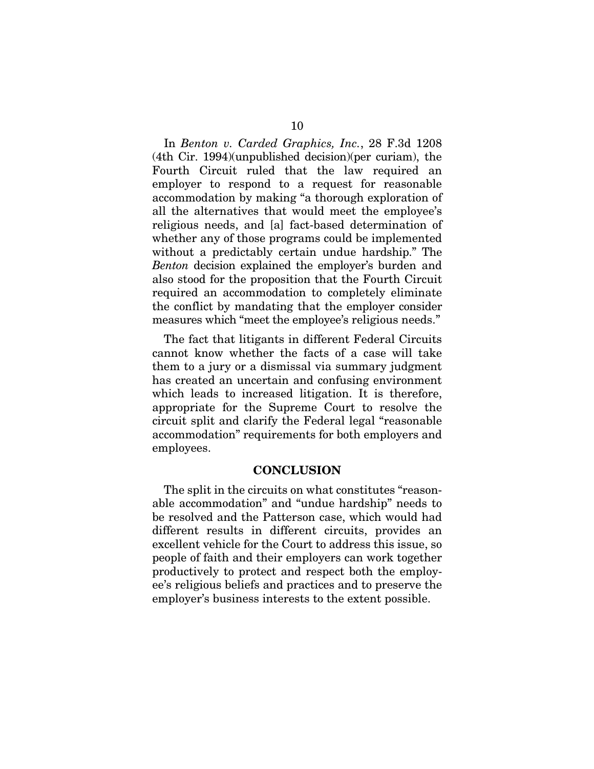In *Benton v. Carded Graphics, Inc.*, 28 F.3d 1208 (4th Cir. 1994)(unpublished decision)(per curiam), the Fourth Circuit ruled that the law required an employer to respond to a request for reasonable accommodation by making "a thorough exploration of all the alternatives that would meet the employee's religious needs, and [a] fact-based determination of whether any of those programs could be implemented without a predictably certain undue hardship." The *Benton* decision explained the employer's burden and also stood for the proposition that the Fourth Circuit required an accommodation to completely eliminate the conflict by mandating that the employer consider measures which "meet the employee's religious needs."

The fact that litigants in different Federal Circuits cannot know whether the facts of a case will take them to a jury or a dismissal via summary judgment has created an uncertain and confusing environment which leads to increased litigation. It is therefore, appropriate for the Supreme Court to resolve the circuit split and clarify the Federal legal "reasonable accommodation" requirements for both employers and employees.

#### **CONCLUSION**

The split in the circuits on what constitutes "reasonable accommodation" and "undue hardship" needs to be resolved and the Patterson case, which would had different results in different circuits, provides an excellent vehicle for the Court to address this issue, so people of faith and their employers can work together productively to protect and respect both the employee's religious beliefs and practices and to preserve the employer's business interests to the extent possible.